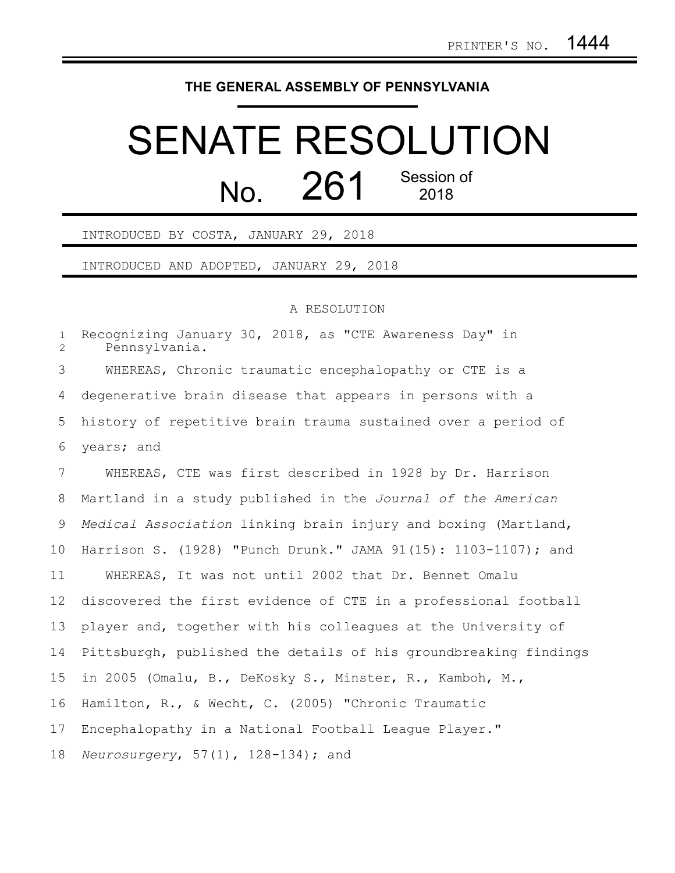## **THE GENERAL ASSEMBLY OF PENNSYLVANIA**

## SENATE RESOLUTION No. 261 Session of

INTRODUCED BY COSTA, JANUARY 29, 2018

INTRODUCED AND ADOPTED, JANUARY 29, 2018

## A RESOLUTION

| $\mathbf{1}$<br>$\overline{2}$ | Recognizing January 30, 2018, as "CTE Awareness Day" in<br>Pennsylvania. |
|--------------------------------|--------------------------------------------------------------------------|
| 3                              | WHEREAS, Chronic traumatic encephalopathy or CTE is a                    |
| 4                              | degenerative brain disease that appears in persons with a                |
| 5                              | history of repetitive brain trauma sustained over a period of            |
| 6                              | years; and                                                               |
| $7\phantom{.0}$                | WHEREAS, CTE was first described in 1928 by Dr. Harrison                 |
| 8                              | Martland in a study published in the Journal of the American             |
| 9                              | Medical Association linking brain injury and boxing (Martland,           |
| 10 <sub>o</sub>                | Harrison S. (1928) "Punch Drunk." JAMA 91(15): 1103-1107); and           |
| 11                             | WHEREAS, It was not until 2002 that Dr. Bennet Omalu                     |
| 12                             | discovered the first evidence of CTE in a professional football          |
| 13                             | player and, together with his colleagues at the University of            |
| 14                             | Pittsburgh, published the details of his groundbreaking findings         |
| 15                             | in 2005 (Omalu, B., DeKosky S., Minster, R., Kamboh, M.,                 |
| 16                             | Hamilton, R., & Wecht, C. (2005) "Chronic Traumatic                      |
| 17                             | Encephalopathy in a National Football League Player."                    |
| 18                             | Neurosurgery, $57(1)$ , $128-134$ ; and                                  |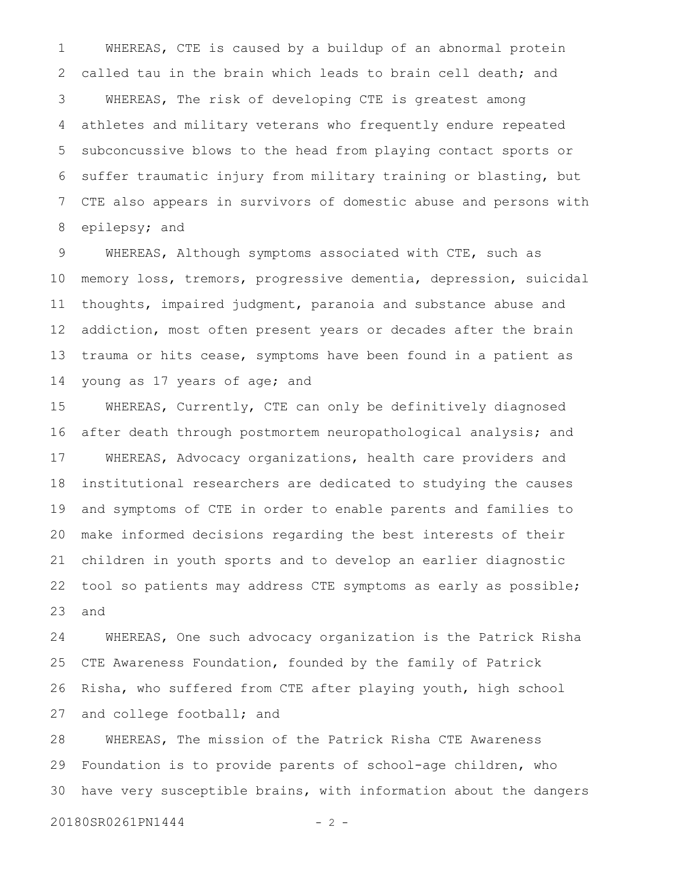WHEREAS, CTE is caused by a buildup of an abnormal protein called tau in the brain which leads to brain cell death; and WHEREAS, The risk of developing CTE is greatest among athletes and military veterans who frequently endure repeated subconcussive blows to the head from playing contact sports or suffer traumatic injury from military training or blasting, but CTE also appears in survivors of domestic abuse and persons with epilepsy; and 1 2 3 4 5 6 7 8

WHEREAS, Although symptoms associated with CTE, such as memory loss, tremors, progressive dementia, depression, suicidal thoughts, impaired judgment, paranoia and substance abuse and addiction, most often present years or decades after the brain trauma or hits cease, symptoms have been found in a patient as young as 17 years of age; and 9 10 11 12 13 14

WHEREAS, Currently, CTE can only be definitively diagnosed after death through postmortem neuropathological analysis; and WHEREAS, Advocacy organizations, health care providers and institutional researchers are dedicated to studying the causes and symptoms of CTE in order to enable parents and families to make informed decisions regarding the best interests of their children in youth sports and to develop an earlier diagnostic tool so patients may address CTE symptoms as early as possible; and 15 16 17 18 19 20 21 22 23

WHEREAS, One such advocacy organization is the Patrick Risha CTE Awareness Foundation, founded by the family of Patrick Risha, who suffered from CTE after playing youth, high school and college football; and 24 25 26 27

WHEREAS, The mission of the Patrick Risha CTE Awareness Foundation is to provide parents of school-age children, who have very susceptible brains, with information about the dangers 28 29 30

20180SR0261PN1444 - 2 -